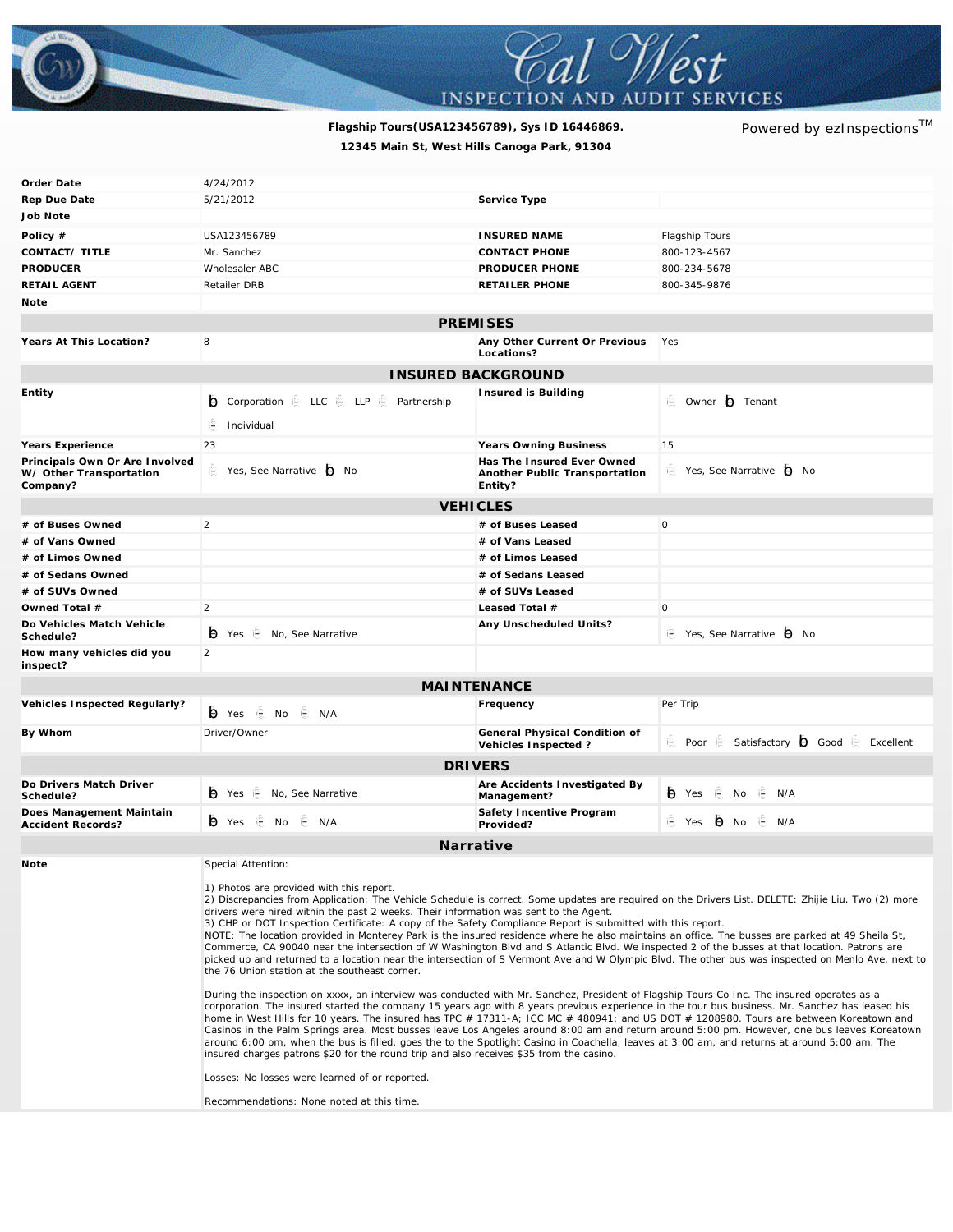

## **Flagship Tours(USA123456789), Sys ID 16446869.** *Powered by ezInspectionsTM* **12345 Main St, West Hills Canoga Park, 91304**

| Order Date                                                            | 4/24/2012                                                                                                                                                                                                                                                                                                                                                                                                                                                                                                                                                                                                                                                                                                                                                                                                                                                                                                                                                                                                                                                                                                                                                                                                                                                                                                                                                                                                                                                                                                                                                                                                                                                                                                                                                                                              |                                                                        |                                              |
|-----------------------------------------------------------------------|--------------------------------------------------------------------------------------------------------------------------------------------------------------------------------------------------------------------------------------------------------------------------------------------------------------------------------------------------------------------------------------------------------------------------------------------------------------------------------------------------------------------------------------------------------------------------------------------------------------------------------------------------------------------------------------------------------------------------------------------------------------------------------------------------------------------------------------------------------------------------------------------------------------------------------------------------------------------------------------------------------------------------------------------------------------------------------------------------------------------------------------------------------------------------------------------------------------------------------------------------------------------------------------------------------------------------------------------------------------------------------------------------------------------------------------------------------------------------------------------------------------------------------------------------------------------------------------------------------------------------------------------------------------------------------------------------------------------------------------------------------------------------------------------------------|------------------------------------------------------------------------|----------------------------------------------|
| Rep Due Date                                                          | 5/21/2012                                                                                                                                                                                                                                                                                                                                                                                                                                                                                                                                                                                                                                                                                                                                                                                                                                                                                                                                                                                                                                                                                                                                                                                                                                                                                                                                                                                                                                                                                                                                                                                                                                                                                                                                                                                              | Service Type                                                           |                                              |
| Job Note                                                              |                                                                                                                                                                                                                                                                                                                                                                                                                                                                                                                                                                                                                                                                                                                                                                                                                                                                                                                                                                                                                                                                                                                                                                                                                                                                                                                                                                                                                                                                                                                                                                                                                                                                                                                                                                                                        |                                                                        |                                              |
| Policy $#$                                                            | USA123456789                                                                                                                                                                                                                                                                                                                                                                                                                                                                                                                                                                                                                                                                                                                                                                                                                                                                                                                                                                                                                                                                                                                                                                                                                                                                                                                                                                                                                                                                                                                                                                                                                                                                                                                                                                                           | <b>INSURED NAME</b>                                                    | Flagship Tours                               |
| CONTACT/ TITLE                                                        | Mr. Sanchez                                                                                                                                                                                                                                                                                                                                                                                                                                                                                                                                                                                                                                                                                                                                                                                                                                                                                                                                                                                                                                                                                                                                                                                                                                                                                                                                                                                                                                                                                                                                                                                                                                                                                                                                                                                            | <b>CONTACT PHONE</b>                                                   | 800-123-4567                                 |
| <b>PRODUCER</b>                                                       | Wholesaler ABC                                                                                                                                                                                                                                                                                                                                                                                                                                                                                                                                                                                                                                                                                                                                                                                                                                                                                                                                                                                                                                                                                                                                                                                                                                                                                                                                                                                                                                                                                                                                                                                                                                                                                                                                                                                         | PRODUCER PHONE                                                         | 800-234-5678                                 |
| RETAIL AGENT                                                          | <b>Retailer DRB</b>                                                                                                                                                                                                                                                                                                                                                                                                                                                                                                                                                                                                                                                                                                                                                                                                                                                                                                                                                                                                                                                                                                                                                                                                                                                                                                                                                                                                                                                                                                                                                                                                                                                                                                                                                                                    | RETAILER PHONE                                                         | 800-345-9876                                 |
| Note                                                                  |                                                                                                                                                                                                                                                                                                                                                                                                                                                                                                                                                                                                                                                                                                                                                                                                                                                                                                                                                                                                                                                                                                                                                                                                                                                                                                                                                                                                                                                                                                                                                                                                                                                                                                                                                                                                        |                                                                        |                                              |
| <b>PREMISES</b>                                                       |                                                                                                                                                                                                                                                                                                                                                                                                                                                                                                                                                                                                                                                                                                                                                                                                                                                                                                                                                                                                                                                                                                                                                                                                                                                                                                                                                                                                                                                                                                                                                                                                                                                                                                                                                                                                        |                                                                        |                                              |
| Years At This Location?                                               | 8                                                                                                                                                                                                                                                                                                                                                                                                                                                                                                                                                                                                                                                                                                                                                                                                                                                                                                                                                                                                                                                                                                                                                                                                                                                                                                                                                                                                                                                                                                                                                                                                                                                                                                                                                                                                      | Any Other Current Or Previous<br>Locations?                            | Yes                                          |
| INSURED BACKGROUND                                                    |                                                                                                                                                                                                                                                                                                                                                                                                                                                                                                                                                                                                                                                                                                                                                                                                                                                                                                                                                                                                                                                                                                                                                                                                                                                                                                                                                                                                                                                                                                                                                                                                                                                                                                                                                                                                        |                                                                        |                                              |
| Entity                                                                |                                                                                                                                                                                                                                                                                                                                                                                                                                                                                                                                                                                                                                                                                                                                                                                                                                                                                                                                                                                                                                                                                                                                                                                                                                                                                                                                                                                                                                                                                                                                                                                                                                                                                                                                                                                                        | Insured is Building                                                    |                                              |
|                                                                       | ig Corporation ie LLC ie LLP ie Partnership                                                                                                                                                                                                                                                                                                                                                                                                                                                                                                                                                                                                                                                                                                                                                                                                                                                                                                                                                                                                                                                                                                                                                                                                                                                                                                                                                                                                                                                                                                                                                                                                                                                                                                                                                            |                                                                        | © Owner <b>O</b> Tenant                      |
|                                                                       | iF.<br>Individual                                                                                                                                                                                                                                                                                                                                                                                                                                                                                                                                                                                                                                                                                                                                                                                                                                                                                                                                                                                                                                                                                                                                                                                                                                                                                                                                                                                                                                                                                                                                                                                                                                                                                                                                                                                      |                                                                        |                                              |
| Years Experience                                                      | 23                                                                                                                                                                                                                                                                                                                                                                                                                                                                                                                                                                                                                                                                                                                                                                                                                                                                                                                                                                                                                                                                                                                                                                                                                                                                                                                                                                                                                                                                                                                                                                                                                                                                                                                                                                                                     | Years Owning Business                                                  | 15                                           |
| Principals Own Or Are Involved<br>W/ Other Transportation<br>Company? | P Yes. See Narrative <b>P</b> No                                                                                                                                                                                                                                                                                                                                                                                                                                                                                                                                                                                                                                                                                                                                                                                                                                                                                                                                                                                                                                                                                                                                                                                                                                                                                                                                                                                                                                                                                                                                                                                                                                                                                                                                                                       | Has The Insured Ever Owned<br>Another Public Transportation<br>Entity? | ie Yes, See Narrative io No                  |
| <b>VEHICLES</b>                                                       |                                                                                                                                                                                                                                                                                                                                                                                                                                                                                                                                                                                                                                                                                                                                                                                                                                                                                                                                                                                                                                                                                                                                                                                                                                                                                                                                                                                                                                                                                                                                                                                                                                                                                                                                                                                                        |                                                                        |                                              |
| # of Buses Owned                                                      | $\overline{2}$                                                                                                                                                                                                                                                                                                                                                                                                                                                                                                                                                                                                                                                                                                                                                                                                                                                                                                                                                                                                                                                                                                                                                                                                                                                                                                                                                                                                                                                                                                                                                                                                                                                                                                                                                                                         | # of Buses Leased                                                      | $\circ$                                      |
| # of Vans Owned                                                       |                                                                                                                                                                                                                                                                                                                                                                                                                                                                                                                                                                                                                                                                                                                                                                                                                                                                                                                                                                                                                                                                                                                                                                                                                                                                                                                                                                                                                                                                                                                                                                                                                                                                                                                                                                                                        | # of Vans Leased                                                       |                                              |
| # of Limos Owned                                                      |                                                                                                                                                                                                                                                                                                                                                                                                                                                                                                                                                                                                                                                                                                                                                                                                                                                                                                                                                                                                                                                                                                                                                                                                                                                                                                                                                                                                                                                                                                                                                                                                                                                                                                                                                                                                        | # of Limos Leased                                                      |                                              |
| # of Sedans Owned                                                     |                                                                                                                                                                                                                                                                                                                                                                                                                                                                                                                                                                                                                                                                                                                                                                                                                                                                                                                                                                                                                                                                                                                                                                                                                                                                                                                                                                                                                                                                                                                                                                                                                                                                                                                                                                                                        | # of Sedans Leased                                                     |                                              |
| # of SUVs Owned                                                       |                                                                                                                                                                                                                                                                                                                                                                                                                                                                                                                                                                                                                                                                                                                                                                                                                                                                                                                                                                                                                                                                                                                                                                                                                                                                                                                                                                                                                                                                                                                                                                                                                                                                                                                                                                                                        | # of SUVs Leased                                                       |                                              |
| Owned Total #                                                         | $\overline{2}$                                                                                                                                                                                                                                                                                                                                                                                                                                                                                                                                                                                                                                                                                                                                                                                                                                                                                                                                                                                                                                                                                                                                                                                                                                                                                                                                                                                                                                                                                                                                                                                                                                                                                                                                                                                         | Leased Total #                                                         | $\circ$                                      |
| Do Vehicles Match Vehicle                                             |                                                                                                                                                                                                                                                                                                                                                                                                                                                                                                                                                                                                                                                                                                                                                                                                                                                                                                                                                                                                                                                                                                                                                                                                                                                                                                                                                                                                                                                                                                                                                                                                                                                                                                                                                                                                        | Any Unscheduled Units?                                                 |                                              |
| Schedule?                                                             | → Yes <i>E</i> No, See Narrative                                                                                                                                                                                                                                                                                                                                                                                                                                                                                                                                                                                                                                                                                                                                                                                                                                                                                                                                                                                                                                                                                                                                                                                                                                                                                                                                                                                                                                                                                                                                                                                                                                                                                                                                                                       |                                                                        | i <sup>2</sup> Yes, See Narrative D No       |
| How many vehicles did you<br>inspect?                                 | $\overline{2}$                                                                                                                                                                                                                                                                                                                                                                                                                                                                                                                                                                                                                                                                                                                                                                                                                                                                                                                                                                                                                                                                                                                                                                                                                                                                                                                                                                                                                                                                                                                                                                                                                                                                                                                                                                                         |                                                                        |                                              |
| <b>MAINTENANCE</b>                                                    |                                                                                                                                                                                                                                                                                                                                                                                                                                                                                                                                                                                                                                                                                                                                                                                                                                                                                                                                                                                                                                                                                                                                                                                                                                                                                                                                                                                                                                                                                                                                                                                                                                                                                                                                                                                                        |                                                                        |                                              |
| Vehicles Inspected Regularly?                                         | io Yes i⊟ No<br>i⊟ N/A                                                                                                                                                                                                                                                                                                                                                                                                                                                                                                                                                                                                                                                                                                                                                                                                                                                                                                                                                                                                                                                                                                                                                                                                                                                                                                                                                                                                                                                                                                                                                                                                                                                                                                                                                                                 | Frequency                                                              | Per Trip                                     |
| By Whom                                                               | Driver/Owner                                                                                                                                                                                                                                                                                                                                                                                                                                                                                                                                                                                                                                                                                                                                                                                                                                                                                                                                                                                                                                                                                                                                                                                                                                                                                                                                                                                                                                                                                                                                                                                                                                                                                                                                                                                           | General Physical Condition of<br>Vehicles Inspected?                   | ie Poor ie Satisfactory io Good ie Excellent |
| <b>DRIVERS</b>                                                        |                                                                                                                                                                                                                                                                                                                                                                                                                                                                                                                                                                                                                                                                                                                                                                                                                                                                                                                                                                                                                                                                                                                                                                                                                                                                                                                                                                                                                                                                                                                                                                                                                                                                                                                                                                                                        |                                                                        |                                              |
| Do Drivers Match Driver                                               |                                                                                                                                                                                                                                                                                                                                                                                                                                                                                                                                                                                                                                                                                                                                                                                                                                                                                                                                                                                                                                                                                                                                                                                                                                                                                                                                                                                                                                                                                                                                                                                                                                                                                                                                                                                                        | Are Accidents Investigated By                                          |                                              |
| Schedule?                                                             | → Yes i. No, See Narrative                                                                                                                                                                                                                                                                                                                                                                                                                                                                                                                                                                                                                                                                                                                                                                                                                                                                                                                                                                                                                                                                                                                                                                                                                                                                                                                                                                                                                                                                                                                                                                                                                                                                                                                                                                             | Management?                                                            | <b>Đ</b> Yes i No i N/A                      |
| Does Management Maintain<br>Accident Records?                         | (Э́ Yes   ⊕ No   ⊜ N/A                                                                                                                                                                                                                                                                                                                                                                                                                                                                                                                                                                                                                                                                                                                                                                                                                                                                                                                                                                                                                                                                                                                                                                                                                                                                                                                                                                                                                                                                                                                                                                                                                                                                                                                                                                                 | Safety Incentive Program<br>Provided?                                  | E Yes D No E N/A                             |
| Narrative                                                             |                                                                                                                                                                                                                                                                                                                                                                                                                                                                                                                                                                                                                                                                                                                                                                                                                                                                                                                                                                                                                                                                                                                                                                                                                                                                                                                                                                                                                                                                                                                                                                                                                                                                                                                                                                                                        |                                                                        |                                              |
| Note<br>Special Attention:                                            |                                                                                                                                                                                                                                                                                                                                                                                                                                                                                                                                                                                                                                                                                                                                                                                                                                                                                                                                                                                                                                                                                                                                                                                                                                                                                                                                                                                                                                                                                                                                                                                                                                                                                                                                                                                                        |                                                                        |                                              |
|                                                                       | 1) Photos are provided with this report.<br>2) Discrepancies from Application: The Vehicle Schedule is correct. Some updates are required on the Drivers List. DELETE: Zhijie Liu. Two (2) more<br>drivers were hired within the past 2 weeks. Their information was sent to the Agent.<br>3) CHP or DOT Inspection Certificate: A copy of the Safety Compliance Report is submitted with this report.<br>NOTE: The location provided in Monterey Park is the insured residence where he also maintains an office. The busses are parked at 49 Sheila St,<br>Commerce, CA 90040 near the intersection of W Washington Blvd and S Atlantic Blvd. We inspected 2 of the busses at that location. Patrons are<br>picked up and returned to a location near the intersection of S Vermont Ave and W Olympic Blvd. The other bus was inspected on Menlo Ave, next to<br>the 76 Union station at the southeast corner.<br>During the inspection on xxxx, an interview was conducted with Mr. Sanchez, President of Flagship Tours Co Inc. The insured operates as a<br>corporation. The insured started the company 15 years ago with 8 years previous experience in the tour bus business. Mr. Sanchez has leased his<br>home in West Hills for 10 years. The insured has TPC # 17311-A; ICC MC # 480941; and US DOT # 1208980. Tours are between Koreatown and<br>Casinos in the Palm Springs area. Most busses leave Los Angeles around 8:00 am and return around 5:00 pm. However, one bus leaves Koreatown<br>around 6:00 pm, when the bus is filled, goes the to the Spotlight Casino in Coachella, leaves at 3:00 am, and returns at around 5:00 am. The<br>insured charges patrons \$20 for the round trip and also receives \$35 from the casino.<br>Losses: No losses were learned of or reported. |                                                                        |                                              |
|                                                                       | Recommendations: None noted at this time.                                                                                                                                                                                                                                                                                                                                                                                                                                                                                                                                                                                                                                                                                                                                                                                                                                                                                                                                                                                                                                                                                                                                                                                                                                                                                                                                                                                                                                                                                                                                                                                                                                                                                                                                                              |                                                                        |                                              |